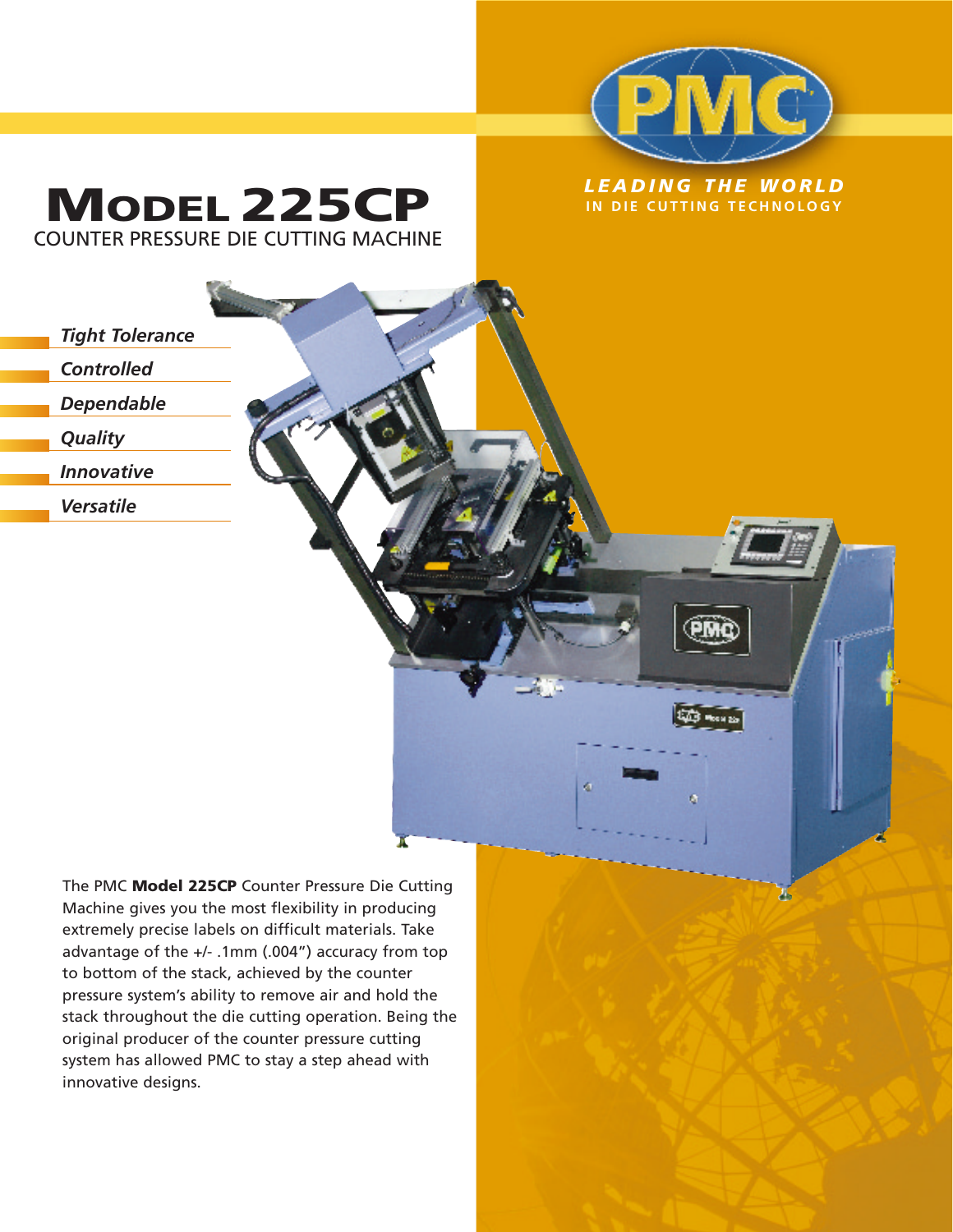

ø

Д.

*LEADING THE WORLD* **MODEL 225CP IN DIE CUTTING TECHNOLOGY** COUNTER PRESSURE DIE CUTTING MACHINE

## *Tight Tolerance Controlled Dependable Quality*

*Innovative*

*Versatile*

The PMC **Model 225CP** Counter Pressure Die Cutting Machine gives you the most flexibility in producing extremely precise labels on difficult materials. Take advantage of the +/- .1mm (.004") accuracy from top to bottom of the stack, achieved by the counter pressure system's ability to remove air and hold the stack throughout the die cutting operation. Being the original producer of the counter pressure cutting system has allowed PMC to stay a step ahead with innovative designs.